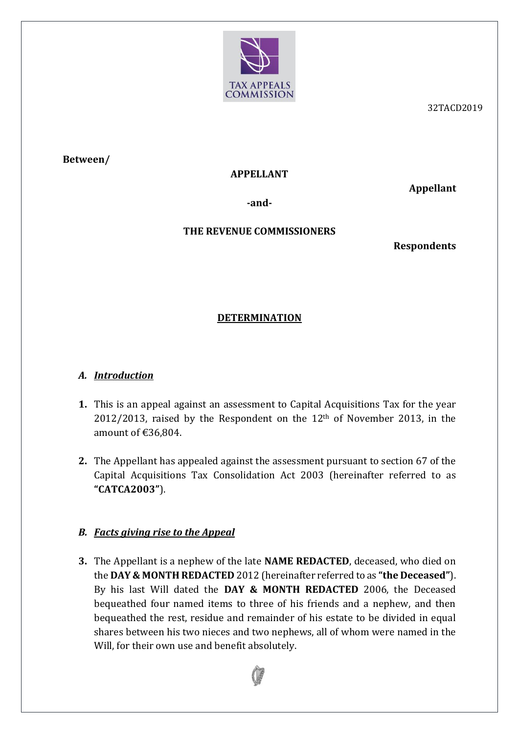

32TACD2019

**Between/**

### **APPELLANT**

**Appellant**

**-and-**

# **THE REVENUE COMMISSIONERS**

**Respondents**

# **DETERMINATION**

### *A. Introduction*

- **1.** This is an appeal against an assessment to Capital Acquisitions Tax for the year  $2012/2013$ , raised by the Respondent on the  $12<sup>th</sup>$  of November 2013, in the amount of €36,804.
- **2.** The Appellant has appealed against the assessment pursuant to section 67 of the Capital Acquisitions Tax Consolidation Act 2003 (hereinafter referred to as **"CATCA2003"**).

### *B. Facts giving rise to the Appeal*

**3.** The Appellant is a nephew of the late **NAME REDACTED**, deceased, who died on the **DAY & MONTH REDACTED** 2012 (hereinafter referred to as **"the Deceased"**). By his last Will dated the **DAY & MONTH REDACTED** 2006, the Deceased bequeathed four named items to three of his friends and a nephew, and then bequeathed the rest, residue and remainder of his estate to be divided in equal shares between his two nieces and two nephews, all of whom were named in the Will, for their own use and benefit absolutely.

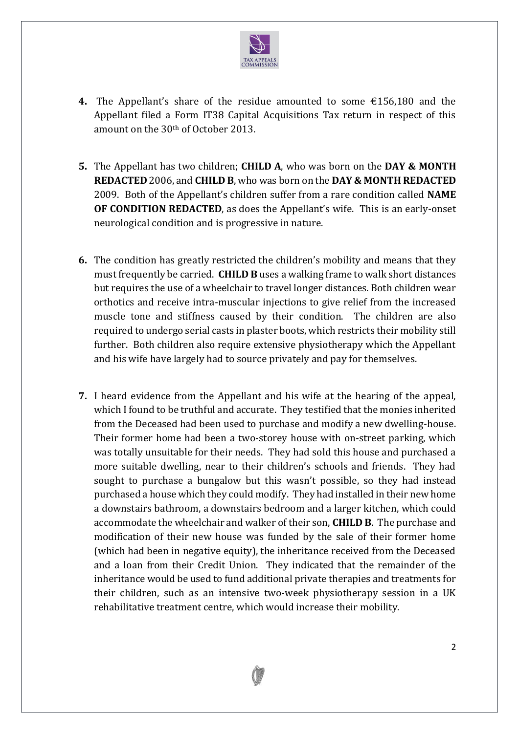

- **4.** The Appellant's share of the residue amounted to some €156,180 and the Appellant filed a Form IT38 Capital Acquisitions Tax return in respect of this amount on the 30th of October 2013.
- **5.** The Appellant has two children; **CHILD A**, who was born on the **DAY & MONTH REDACTED** 2006, and **CHILD B**, who was born on the **DAY & MONTH REDACTED** 2009. Both of the Appellant's children suffer from a rare condition called **NAME OF CONDITION REDACTED**, as does the Appellant's wife. This is an early-onset neurological condition and is progressive in nature.
- **6.** The condition has greatly restricted the children's mobility and means that they must frequently be carried. **CHILD B** uses a walking frame to walk short distances but requires the use of a wheelchair to travel longer distances. Both children wear orthotics and receive intra-muscular injections to give relief from the increased muscle tone and stiffness caused by their condition. The children are also required to undergo serial casts in plaster boots, which restricts their mobility still further. Both children also require extensive physiotherapy which the Appellant and his wife have largely had to source privately and pay for themselves.
- **7.** I heard evidence from the Appellant and his wife at the hearing of the appeal, which I found to be truthful and accurate. They testified that the monies inherited from the Deceased had been used to purchase and modify a new dwelling-house. Their former home had been a two-storey house with on-street parking, which was totally unsuitable for their needs. They had sold this house and purchased a more suitable dwelling, near to their children's schools and friends. They had sought to purchase a bungalow but this wasn't possible, so they had instead purchased a house which they could modify. They had installed in their new home a downstairs bathroom, a downstairs bedroom and a larger kitchen, which could accommodate the wheelchair and walker of their son, **CHILD B**. The purchase and modification of their new house was funded by the sale of their former home (which had been in negative equity), the inheritance received from the Deceased and a loan from their Credit Union. They indicated that the remainder of the inheritance would be used to fund additional private therapies and treatments for their children, such as an intensive two-week physiotherapy session in a UK rehabilitative treatment centre, which would increase their mobility.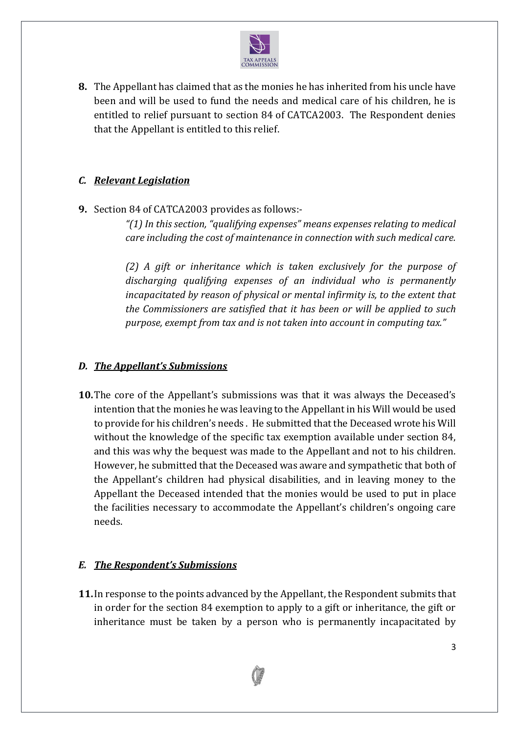

**8.** The Appellant has claimed that as the monies he has inherited from his uncle have been and will be used to fund the needs and medical care of his children, he is entitled to relief pursuant to section 84 of CATCA2003. The Respondent denies that the Appellant is entitled to this relief.

## *C. Relevant Legislation*

**9.** Section 84 of CATCA2003 provides as follows:-

*"(1) In this section, "qualifying expenses" means expenses relating to medical care including the cost of maintenance in connection with such medical care.*

*(2) A gift or inheritance which is taken exclusively for the purpose of discharging qualifying expenses of an individual who is permanently incapacitated by reason of physical or mental infirmity is, to the extent that the Commissioners are satisfied that it has been or will be applied to such purpose, exempt from tax and is not taken into account in computing tax."*

## *D. The Appellant's Submissions*

**10.**The core of the Appellant's submissions was that it was always the Deceased's intention that the monies he was leaving to the Appellant in his Will would be used to provide for his children's needs . He submitted that the Deceased wrote his Will without the knowledge of the specific tax exemption available under section 84, and this was why the bequest was made to the Appellant and not to his children. However, he submitted that the Deceased was aware and sympathetic that both of the Appellant's children had physical disabilities, and in leaving money to the Appellant the Deceased intended that the monies would be used to put in place the facilities necessary to accommodate the Appellant's children's ongoing care needs.

### *E. The Respondent's Submissions*

**11.**In response to the points advanced by the Appellant, the Respondent submits that in order for the section 84 exemption to apply to a gift or inheritance, the gift or inheritance must be taken by a person who is permanently incapacitated by

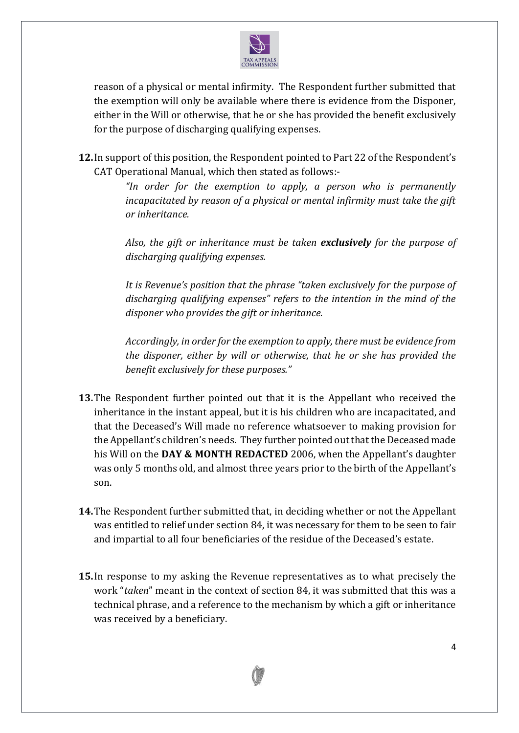

reason of a physical or mental infirmity. The Respondent further submitted that the exemption will only be available where there is evidence from the Disponer, either in the Will or otherwise, that he or she has provided the benefit exclusively for the purpose of discharging qualifying expenses.

**12.**In support of this position, the Respondent pointed to Part 22 of the Respondent's CAT Operational Manual, which then stated as follows:-

> *"In order for the exemption to apply, a person who is permanently incapacitated by reason of a physical or mental infirmity must take the gift or inheritance.*

> *Also, the gift or inheritance must be taken exclusively for the purpose of discharging qualifying expenses.*

> *It is Revenue's position that the phrase "taken exclusively for the purpose of discharging qualifying expenses" refers to the intention in the mind of the disponer who provides the gift or inheritance.*

> *Accordingly, in order for the exemption to apply, there must be evidence from the disponer, either by will or otherwise, that he or she has provided the benefit exclusively for these purposes."*

- **13.**The Respondent further pointed out that it is the Appellant who received the inheritance in the instant appeal, but it is his children who are incapacitated, and that the Deceased's Will made no reference whatsoever to making provision for the Appellant's children's needs. They further pointed out that the Deceased made his Will on the **DAY & MONTH REDACTED** 2006, when the Appellant's daughter was only 5 months old, and almost three years prior to the birth of the Appellant's son.
- **14.**The Respondent further submitted that, in deciding whether or not the Appellant was entitled to relief under section 84, it was necessary for them to be seen to fair and impartial to all four beneficiaries of the residue of the Deceased's estate.
- **15.**In response to my asking the Revenue representatives as to what precisely the work "*taken*" meant in the context of section 84, it was submitted that this was a technical phrase, and a reference to the mechanism by which a gift or inheritance was received by a beneficiary.

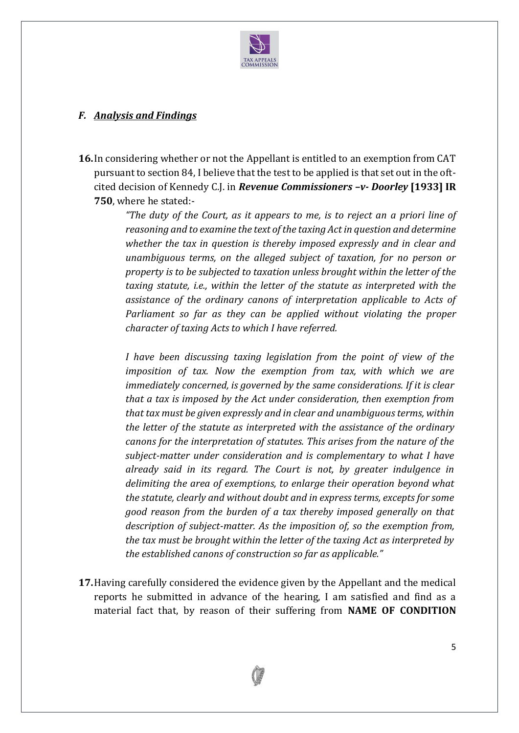

#### *F. Analysis and Findings*

**16.**In considering whether or not the Appellant is entitled to an exemption from CAT pursuant to section 84, I believe that the test to be applied is that set out in the oftcited decision of Kennedy C.J. in *Revenue Commissioners –v- Doorley* **[1933] IR 750**, where he stated:-

> *"The duty of the Court, as it appears to me, is to reject an a priori line of reasoning and to examine the text of the taxing Act in question and determine whether the tax in question is thereby imposed expressly and in clear and unambiguous terms, on the alleged subject of taxation, for no person or property is to be subjected to taxation unless brought within the letter of the taxing statute, i.e., within the letter of the statute as interpreted with the assistance of the ordinary canons of interpretation applicable to Acts of Parliament so far as they can be applied without violating the proper character of taxing Acts to which I have referred.*

> *I have been discussing taxing legislation from the point of view of the imposition of tax. Now the exemption from tax, with which we are immediately concerned, is governed by the same considerations. If it is clear that a tax is imposed by the Act under consideration, then exemption from that tax must be given expressly and in clear and unambiguous terms, within the letter of the statute as interpreted with the assistance of the ordinary canons for the interpretation of statutes. This arises from the nature of the subject-matter under consideration and is complementary to what I have already said in its regard. The Court is not, by greater indulgence in delimiting the area of exemptions, to enlarge their operation beyond what the statute, clearly and without doubt and in express terms, excepts for some good reason from the burden of a tax thereby imposed generally on that description of subject-matter. As the imposition of, so the exemption from, the tax must be brought within the letter of the taxing Act as interpreted by the established canons of construction so far as applicable."*

**17.**Having carefully considered the evidence given by the Appellant and the medical reports he submitted in advance of the hearing, I am satisfied and find as a material fact that, by reason of their suffering from **NAME OF CONDITION**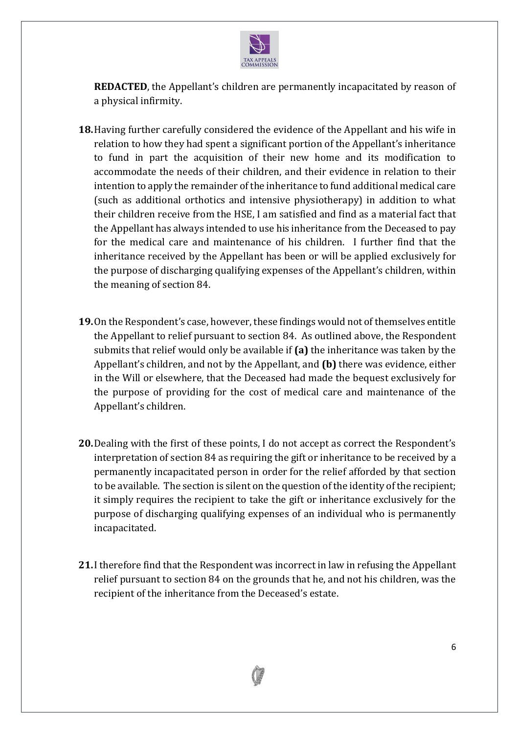

**REDACTED**, the Appellant's children are permanently incapacitated by reason of a physical infirmity.

- **18.**Having further carefully considered the evidence of the Appellant and his wife in relation to how they had spent a significant portion of the Appellant's inheritance to fund in part the acquisition of their new home and its modification to accommodate the needs of their children, and their evidence in relation to their intention to apply the remainder of the inheritance to fund additional medical care (such as additional orthotics and intensive physiotherapy) in addition to what their children receive from the HSE, I am satisfied and find as a material fact that the Appellant has always intended to use his inheritance from the Deceased to pay for the medical care and maintenance of his children. I further find that the inheritance received by the Appellant has been or will be applied exclusively for the purpose of discharging qualifying expenses of the Appellant's children, within the meaning of section 84.
- **19.**On the Respondent's case, however, these findings would not of themselves entitle the Appellant to relief pursuant to section 84. As outlined above, the Respondent submits that relief would only be available if **(a)** the inheritance was taken by the Appellant's children, and not by the Appellant, and **(b)** there was evidence, either in the Will or elsewhere, that the Deceased had made the bequest exclusively for the purpose of providing for the cost of medical care and maintenance of the Appellant's children.
- **20.**Dealing with the first of these points, I do not accept as correct the Respondent's interpretation of section 84 as requiring the gift or inheritance to be received by a permanently incapacitated person in order for the relief afforded by that section to be available. The section is silent on the question of the identity of the recipient; it simply requires the recipient to take the gift or inheritance exclusively for the purpose of discharging qualifying expenses of an individual who is permanently incapacitated.
- **21.**I therefore find that the Respondent was incorrect in law in refusing the Appellant relief pursuant to section 84 on the grounds that he, and not his children, was the recipient of the inheritance from the Deceased's estate.

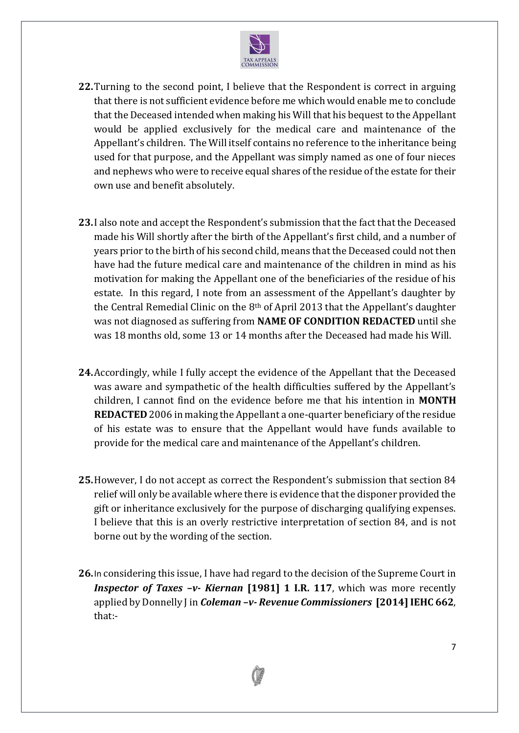

- **22.**Turning to the second point, I believe that the Respondent is correct in arguing that there is not sufficient evidence before me which would enable me to conclude that the Deceased intended when making his Will that his bequest to the Appellant would be applied exclusively for the medical care and maintenance of the Appellant's children. The Will itself contains no reference to the inheritance being used for that purpose, and the Appellant was simply named as one of four nieces and nephews who were to receive equal shares of the residue of the estate for their own use and benefit absolutely.
- **23.**I also note and accept the Respondent's submission that the fact that the Deceased made his Will shortly after the birth of the Appellant's first child, and a number of years prior to the birth of his second child, means that the Deceased could not then have had the future medical care and maintenance of the children in mind as his motivation for making the Appellant one of the beneficiaries of the residue of his estate. In this regard, I note from an assessment of the Appellant's daughter by the Central Remedial Clinic on the 8th of April 2013 that the Appellant's daughter was not diagnosed as suffering from **NAME OF CONDITION REDACTED** until she was 18 months old, some 13 or 14 months after the Deceased had made his Will.
- **24.**Accordingly, while I fully accept the evidence of the Appellant that the Deceased was aware and sympathetic of the health difficulties suffered by the Appellant's children, I cannot find on the evidence before me that his intention in **MONTH REDACTED** 2006 in making the Appellant a one-quarter beneficiary of the residue of his estate was to ensure that the Appellant would have funds available to provide for the medical care and maintenance of the Appellant's children.
- **25.**However, I do not accept as correct the Respondent's submission that section 84 relief will only be available where there is evidence that the disponer provided the gift or inheritance exclusively for the purpose of discharging qualifying expenses. I believe that this is an overly restrictive interpretation of section 84, and is not borne out by the wording of the section.
- **26.**In considering this issue, I have had regard to the decision of the Supreme Court in *Inspector of Taxes –v- Kiernan* **[1981] 1 I.R. 117**, which was more recently applied by Donnelly J in *Coleman –v- Revenue Commissioners* **[2014] IEHC 662**, that:-

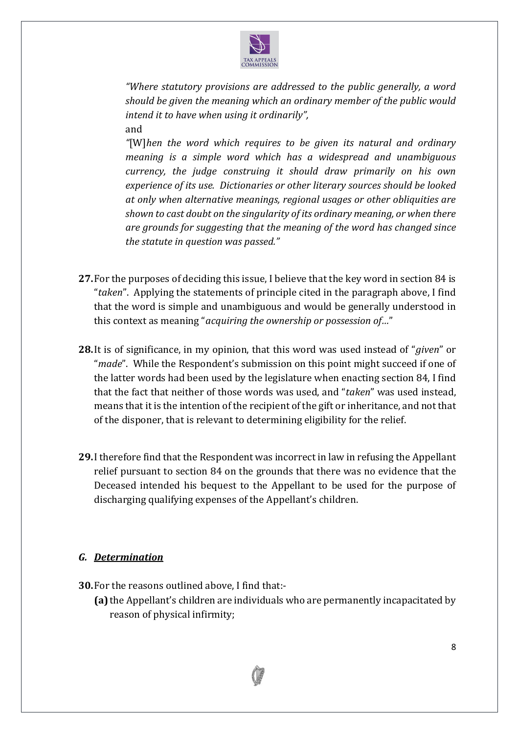

*"Where statutory provisions are addressed to the public generally, a word should be given the meaning which an ordinary member of the public would intend it to have when using it ordinarily",* and

*"*[W]*hen the word which requires to be given its natural and ordinary meaning is a simple word which has a widespread and unambiguous currency, the judge construing it should draw primarily on his own experience of its use. Dictionaries or other literary sources should be looked at only when alternative meanings, regional usages or other obliquities are shown to cast doubt on the singularity of its ordinary meaning, or when there are grounds for suggesting that the meaning of the word has changed since the statute in question was passed."*

- **27.**For the purposes of deciding this issue, I believe that the key word in section 84 is "*taken*". Applying the statements of principle cited in the paragraph above, I find that the word is simple and unambiguous and would be generally understood in this context as meaning "*acquiring the ownership or possession of…*"
- **28.**It is of significance, in my opinion, that this word was used instead of "*given*" or "*made*". While the Respondent's submission on this point might succeed if one of the latter words had been used by the legislature when enacting section 84, I find that the fact that neither of those words was used, and "*taken*" was used instead, means that it is the intention of the recipient of the gift or inheritance, and not that of the disponer, that is relevant to determining eligibility for the relief.
- **29.**I therefore find that the Respondent was incorrect in law in refusing the Appellant relief pursuant to section 84 on the grounds that there was no evidence that the Deceased intended his bequest to the Appellant to be used for the purpose of discharging qualifying expenses of the Appellant's children.

#### *G. Determination*

**30.**For the reasons outlined above, I find that:-

**(a)** the Appellant's children are individuals who are permanently incapacitated by reason of physical infirmity;